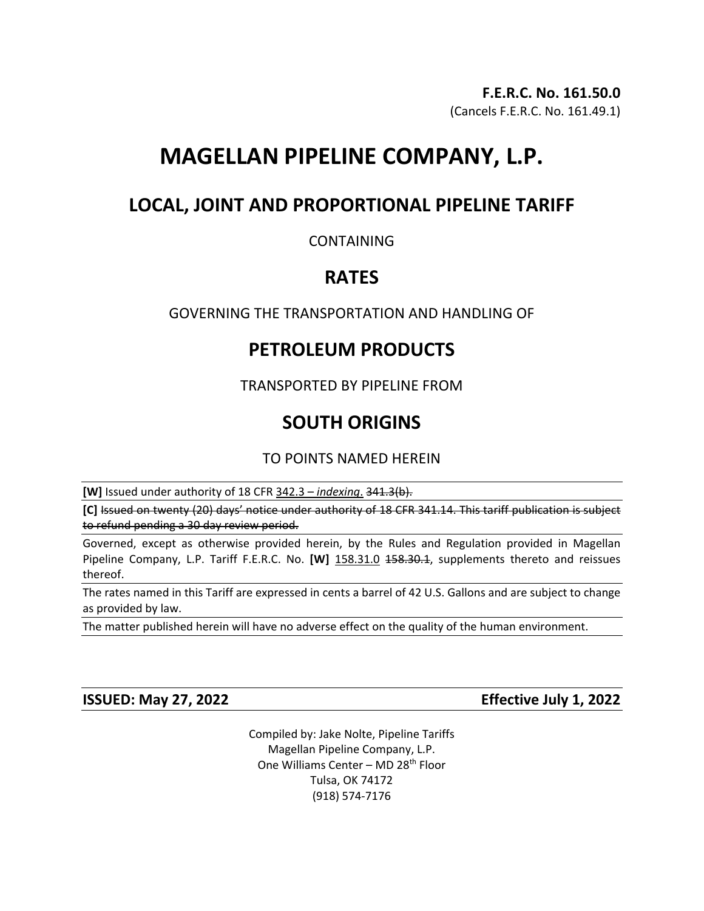# **MAGELLAN PIPELINE COMPANY, L.P.**

## **LOCAL, JOINT AND PROPORTIONAL PIPELINE TARIFF**

### CONTAINING

## **RATES**

## GOVERNING THE TRANSPORTATION AND HANDLING OF

# **PETROLEUM PRODUCTS**

TRANSPORTED BY PIPELINE FROM

# **SOUTH ORIGINS**

## TO POINTS NAMED HEREIN

**[W]** Issued under authority of 18 CFR 342.3 – *indexing*. 341.3(b).

**[C]** Issued on twenty (20) days' notice under authority of 18 CFR 341.14. This tariff publication is subject to refund pending a 30 day review period.

Governed, except as otherwise provided herein, by the Rules and Regulation provided in Magellan Pipeline Company, L.P. Tariff F.E.R.C. No. **[W]** 158.31.0 158.30.1, supplements thereto and reissues thereof.

The rates named in this Tariff are expressed in cents a barrel of 42 U.S. Gallons and are subject to change as provided by law.

The matter published herein will have no adverse effect on the quality of the human environment.

## **ISSUED: May 27, 2022 Effective July 1, 2022**

Compiled by: Jake Nolte, Pipeline Tariffs Magellan Pipeline Company, L.P. One Williams Center – MD 28<sup>th</sup> Floor Tulsa, OK 74172 (918) 574-7176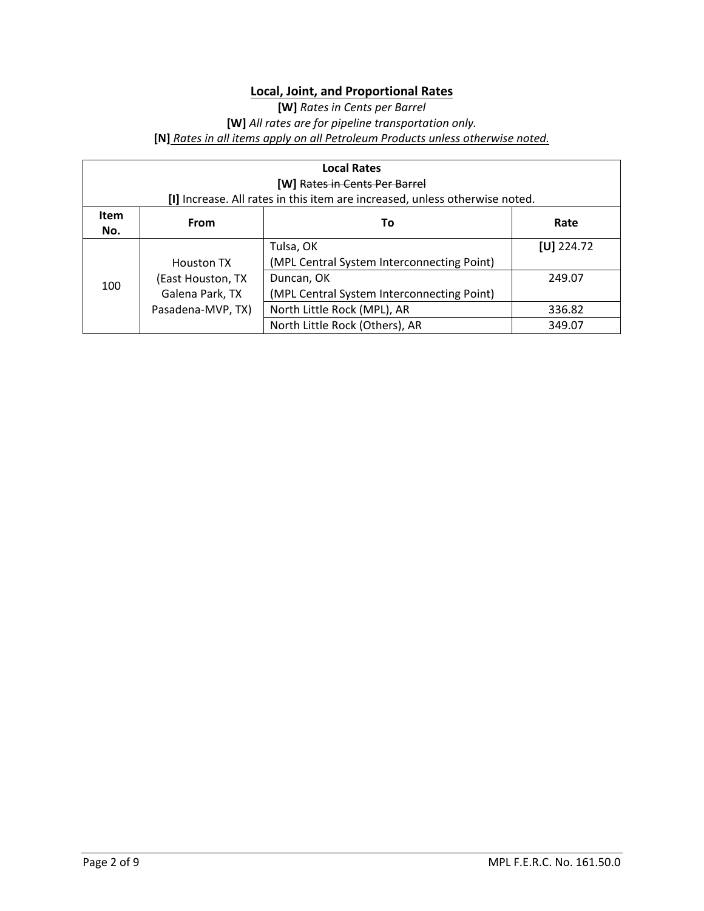## **Local, Joint, and Proportional Rates**

**[W]** *Rates in Cents per Barrel* **[W]** *All rates are for pipeline transportation only.* **[N]** *Rates in all items apply on all Petroleum Products unless otherwise noted.* 

| <b>Local Rates</b><br><b>[W] Rates in Cents Per Barrel</b> |                                       |                                                                             |              |  |  |  |
|------------------------------------------------------------|---------------------------------------|-----------------------------------------------------------------------------|--------------|--|--|--|
|                                                            |                                       | [I] Increase. All rates in this item are increased, unless otherwise noted. |              |  |  |  |
| Item<br>No.                                                | From<br>Rate<br>То                    |                                                                             |              |  |  |  |
|                                                            | <b>Houston TX</b>                     | Tulsa, OK<br>(MPL Central System Interconnecting Point)                     | $[U]$ 224.72 |  |  |  |
| 100                                                        | (East Houston, TX)<br>Galena Park, TX | Duncan, OK<br>(MPL Central System Interconnecting Point)                    | 249.07       |  |  |  |
|                                                            | Pasadena-MVP, TX)                     | North Little Rock (MPL), AR                                                 | 336.82       |  |  |  |
|                                                            |                                       | North Little Rock (Others), AR                                              | 349.07       |  |  |  |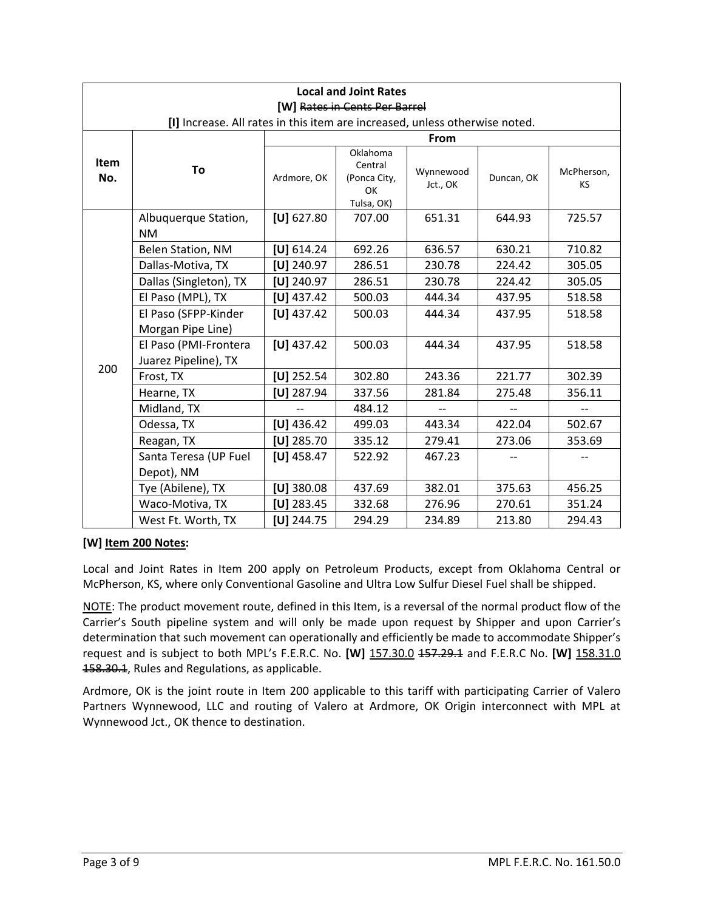| <b>Local and Joint Rates</b>  |                                                                             |              |                                                                |                       |            |                         |  |  |
|-------------------------------|-----------------------------------------------------------------------------|--------------|----------------------------------------------------------------|-----------------------|------------|-------------------------|--|--|
| [W] Rates in Cents Per Barrel |                                                                             |              |                                                                |                       |            |                         |  |  |
|                               | [I] Increase. All rates in this item are increased, unless otherwise noted. |              |                                                                |                       |            |                         |  |  |
|                               |                                                                             |              |                                                                | From                  |            |                         |  |  |
| Item<br>No.                   | To                                                                          | Ardmore, OK  | Oklahoma<br>Central<br>(Ponca City,<br><b>OK</b><br>Tulsa, OK) | Wynnewood<br>Jct., OK | Duncan, OK | McPherson,<br><b>KS</b> |  |  |
|                               | Albuquerque Station,<br><b>NM</b>                                           | [U] 627.80   | 707.00                                                         | 651.31                | 644.93     | 725.57                  |  |  |
|                               | Belen Station, NM                                                           | [U] 614.24   | 692.26                                                         | 636.57                | 630.21     | 710.82                  |  |  |
|                               | Dallas-Motiva, TX                                                           | $[U]$ 240.97 | 286.51                                                         | 230.78                | 224.42     | 305.05                  |  |  |
|                               | Dallas (Singleton), TX                                                      | $[U]$ 240.97 | 286.51                                                         | 230.78                | 224.42     | 305.05                  |  |  |
|                               | El Paso (MPL), TX                                                           | $[U]$ 437.42 | 500.03                                                         | 444.34                | 437.95     | 518.58                  |  |  |
|                               | El Paso (SFPP-Kinder                                                        | $[U]$ 437.42 | 500.03                                                         | 444.34                | 437.95     | 518.58                  |  |  |
|                               | Morgan Pipe Line)                                                           |              |                                                                |                       |            |                         |  |  |
|                               | El Paso (PMI-Frontera<br>Juarez Pipeline), TX                               | $[U]$ 437.42 | 500.03                                                         | 444.34                | 437.95     | 518.58                  |  |  |
| 200                           | Frost, TX                                                                   | $[U]$ 252.54 | 302.80                                                         | 243.36                | 221.77     | 302.39                  |  |  |
|                               | Hearne, TX                                                                  | $[U]$ 287.94 | 337.56                                                         | 281.84                | 275.48     | 356.11                  |  |  |
|                               | Midland, TX                                                                 |              | 484.12                                                         |                       |            |                         |  |  |
|                               | Odessa, TX                                                                  | $[U]$ 436.42 | 499.03                                                         | 443.34                | 422.04     | 502.67                  |  |  |
|                               | Reagan, TX                                                                  | $[U]$ 285.70 | 335.12                                                         | 279.41                | 273.06     | 353.69                  |  |  |
|                               | Santa Teresa (UP Fuel                                                       | $[U]$ 458.47 | 522.92                                                         | 467.23                |            |                         |  |  |
|                               | Depot), NM                                                                  |              |                                                                |                       |            |                         |  |  |
|                               | Tye (Abilene), TX                                                           | $[U]$ 380.08 | 437.69                                                         | 382.01                | 375.63     | 456.25                  |  |  |
|                               | Waco-Motiva, TX                                                             | $[U]$ 283.45 | 332.68                                                         | 276.96                | 270.61     | 351.24                  |  |  |
|                               | West Ft. Worth, TX                                                          | $[U]$ 244.75 | 294.29                                                         | 234.89                | 213.80     | 294.43                  |  |  |

#### **[W] Item 200 Notes:**

Local and Joint Rates in Item 200 apply on Petroleum Products, except from Oklahoma Central or McPherson, KS, where only Conventional Gasoline and Ultra Low Sulfur Diesel Fuel shall be shipped.

NOTE: The product movement route, defined in this Item, is a reversal of the normal product flow of the Carrier's South pipeline system and will only be made upon request by Shipper and upon Carrier's determination that such movement can operationally and efficiently be made to accommodate Shipper's request and is subject to both MPL's F.E.R.C. No. **[W]** 157.30.0 157.29.1 and F.E.R.C No. **[W]** 158.31.0 158.30.1, Rules and Regulations, as applicable.

Ardmore, OK is the joint route in Item 200 applicable to this tariff with participating Carrier of Valero Partners Wynnewood, LLC and routing of Valero at Ardmore, OK Origin interconnect with MPL at Wynnewood Jct., OK thence to destination.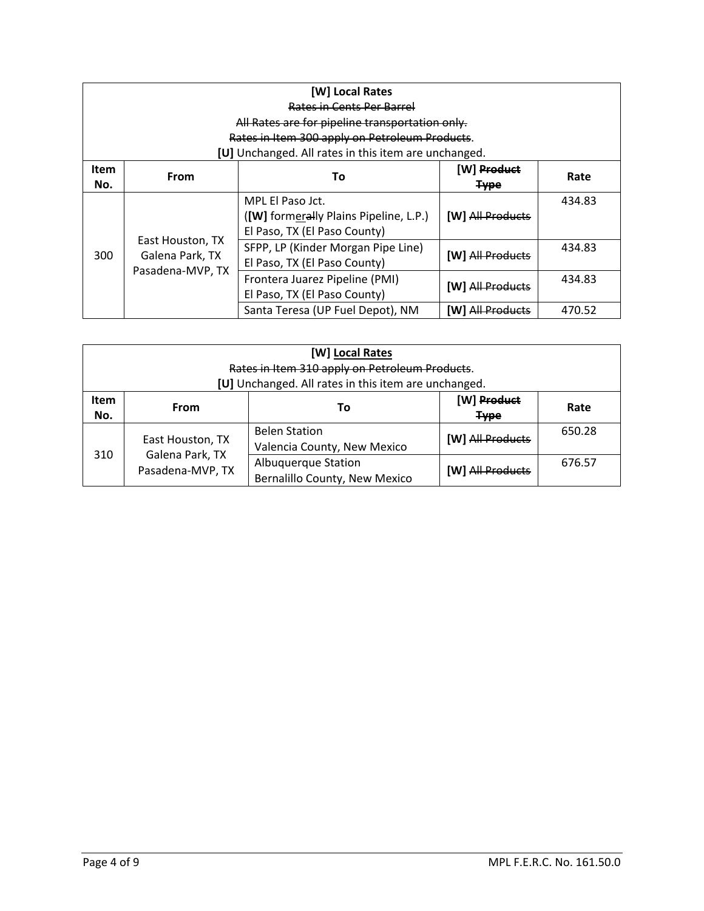|             | [W] Local Rates                              |                                                      |                             |        |  |
|-------------|----------------------------------------------|------------------------------------------------------|-----------------------------|--------|--|
|             |                                              | Rates in Cents Per Barrel                            |                             |        |  |
|             |                                              | All Rates are for pipeline transportation only.      |                             |        |  |
|             |                                              | Rates in Item 300 apply on Petroleum Products.       |                             |        |  |
|             |                                              | [U] Unchanged. All rates in this item are unchanged. |                             |        |  |
| <b>Item</b> | IWI <del>Product</del><br>From<br>Rate<br>Τo |                                                      |                             |        |  |
| No.         |                                              |                                                      | <del>Type</del>             |        |  |
|             |                                              | MPL El Paso Jct.                                     |                             | 434.83 |  |
|             |                                              | ([W] formerally Plains Pipeline, L.P.)               | <b>[W] All Products</b>     |        |  |
|             |                                              | El Paso, TX (El Paso County)                         |                             |        |  |
| 300         | East Houston, TX                             | SFPP, LP (Kinder Morgan Pipe Line)                   | <b>IWI</b> All Products     | 434.83 |  |
|             | Galena Park, TX                              | El Paso, TX (El Paso County)                         |                             |        |  |
|             | Pasadena-MVP, TX                             | Frontera Juarez Pipeline (PMI)                       | [W] All Products            | 434.83 |  |
|             |                                              | El Paso, TX (El Paso County)                         |                             |        |  |
|             |                                              | Santa Teresa (UP Fuel Depot), NM                     | [W] <del>All Products</del> | 470.52 |  |

|                    | [W] Local Rates<br>Rates in Item 310 apply on Petroleum Products. |                                                      |                  |        |  |  |
|--------------------|-------------------------------------------------------------------|------------------------------------------------------|------------------|--------|--|--|
|                    |                                                                   | [U] Unchanged. All rates in this item are unchanged. |                  |        |  |  |
| <b>Item</b><br>No. | Product<br>Rate<br>From<br>To<br><b>Type</b>                      |                                                      |                  |        |  |  |
|                    | East Houston, TX                                                  | <b>Belen Station</b><br>Valencia County, New Mexico  | [W] All Products | 650.28 |  |  |
| 310                | Galena Park, TX<br>Pasadena-MVP, TX                               | Albuquerque Station<br>Bernalillo County, New Mexico | [W] All Products | 676.57 |  |  |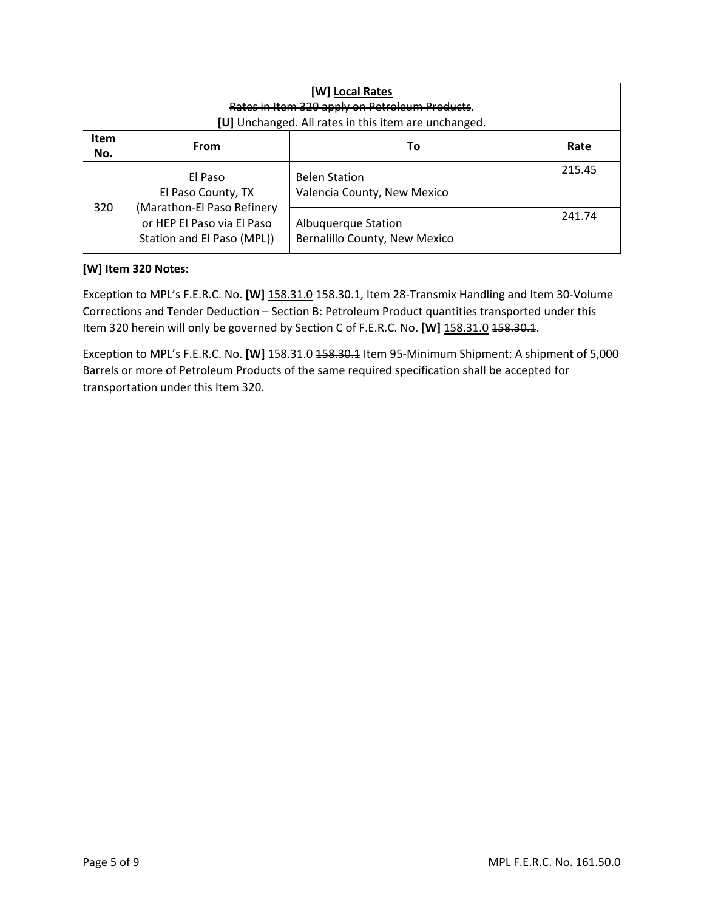|                    | [W] Local Rates<br>Rates in Item 320 apply on Petroleum Products.<br>[U] Unchanged. All rates in this item are unchanged. |                                                      |        |  |  |  |
|--------------------|---------------------------------------------------------------------------------------------------------------------------|------------------------------------------------------|--------|--|--|--|
| <b>Item</b><br>No. | <b>From</b>                                                                                                               | То                                                   | Rate   |  |  |  |
|                    | El Paso<br>El Paso County, TX                                                                                             | <b>Belen Station</b><br>Valencia County, New Mexico  | 215.45 |  |  |  |
| 320                | (Marathon-El Paso Refinery<br>or HEP El Paso via El Paso<br>Station and El Paso (MPL))                                    | Albuquerque Station<br>Bernalillo County, New Mexico | 241.74 |  |  |  |

#### **[W] Item 320 Notes:**

Exception to MPL's F.E.R.C. No. **[W]** 158.31.0 158.30.1, Item 28-Transmix Handling and Item 30-Volume Corrections and Tender Deduction – Section B: Petroleum Product quantities transported under this Item 320 herein will only be governed by Section C of F.E.R.C. No. **[W]** 158.31.0 158.30.1.

Exception to MPL's F.E.R.C. No. **[W]** 158.31.0 158.30.1 Item 95-Minimum Shipment: A shipment of 5,000 Barrels or more of Petroleum Products of the same required specification shall be accepted for transportation under this Item 320.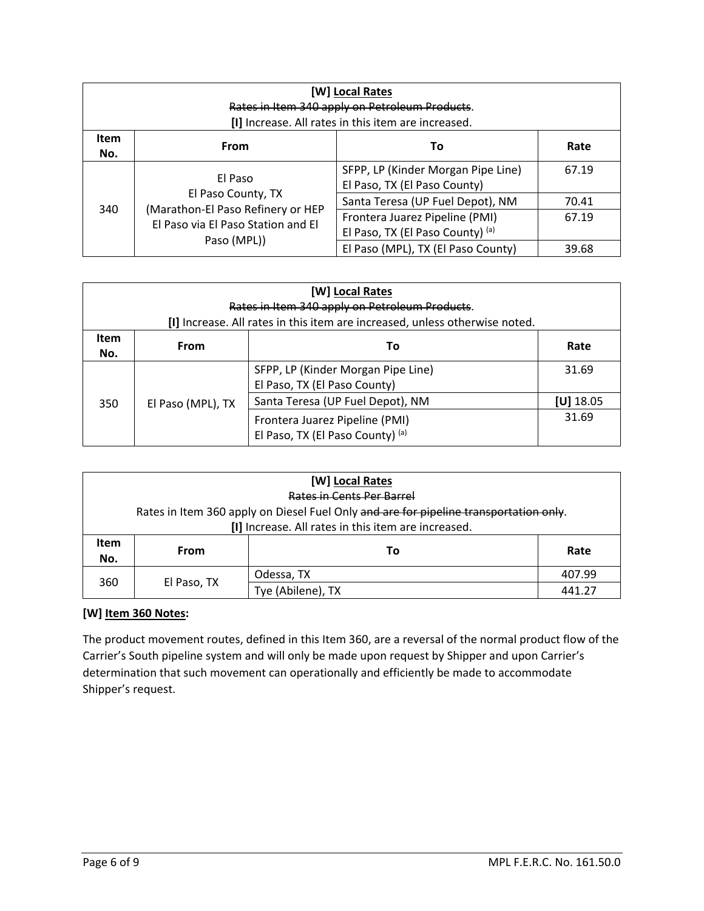| [W] Local Rates<br>Rates in Item 340 apply on Petroleum Products.<br>[I] Increase. All rates in this item are increased. |                                                                                                          |                                                                    |       |  |  |  |  |
|--------------------------------------------------------------------------------------------------------------------------|----------------------------------------------------------------------------------------------------------|--------------------------------------------------------------------|-------|--|--|--|--|
| <b>Item</b><br>No.                                                                                                       | From<br>Rate<br>Т٥                                                                                       |                                                                    |       |  |  |  |  |
| 340                                                                                                                      | El Paso<br>El Paso County, TX<br>(Marathon-El Paso Refinery or HEP<br>El Paso via El Paso Station and El | SFPP, LP (Kinder Morgan Pipe Line)<br>El Paso, TX (El Paso County) | 67.19 |  |  |  |  |
|                                                                                                                          |                                                                                                          | Santa Teresa (UP Fuel Depot), NM                                   | 70.41 |  |  |  |  |
|                                                                                                                          |                                                                                                          | Frontera Juarez Pipeline (PMI)<br>El Paso, TX (El Paso County) (a) | 67.19 |  |  |  |  |
|                                                                                                                          | Paso (MPL))                                                                                              | El Paso (MPL), TX (El Paso County)                                 | 39.68 |  |  |  |  |

|                    | [W] Local Rates<br>Rates in Item 340 apply on Petroleum Products.<br>[I] Increase. All rates in this item are increased, unless otherwise noted. |                                                                    |               |  |  |
|--------------------|--------------------------------------------------------------------------------------------------------------------------------------------------|--------------------------------------------------------------------|---------------|--|--|
| <b>Item</b><br>No. | From                                                                                                                                             | To                                                                 | Rate          |  |  |
|                    |                                                                                                                                                  | SFPP, LP (Kinder Morgan Pipe Line)<br>El Paso, TX (El Paso County) | 31.69         |  |  |
| 350                | El Paso (MPL), TX                                                                                                                                | Santa Teresa (UP Fuel Depot), NM                                   | [ $U$ ] 18.05 |  |  |
|                    |                                                                                                                                                  | Frontera Juarez Pipeline (PMI)<br>El Paso, TX (El Paso County) (a) | 31.69         |  |  |

| [W] Local Rates |                     |                                                                                       |        |  |
|-----------------|---------------------|---------------------------------------------------------------------------------------|--------|--|
|                 |                     | <b>Rates in Cents Per Barrel</b>                                                      |        |  |
|                 |                     | Rates in Item 360 apply on Diesel Fuel Only and are for pipeline transportation only. |        |  |
|                 |                     | [I] Increase. All rates in this item are increased.                                   |        |  |
| <b>Item</b>     | Rate<br><b>From</b> |                                                                                       |        |  |
| No.             | Τo                  |                                                                                       |        |  |
| 360             |                     | Odessa, TX                                                                            | 407.99 |  |
|                 | El Paso, TX         | Tye (Abilene), TX                                                                     | 441.27 |  |

### **[W] Item 360 Notes:**

The product movement routes, defined in this Item 360, are a reversal of the normal product flow of the Carrier's South pipeline system and will only be made upon request by Shipper and upon Carrier's determination that such movement can operationally and efficiently be made to accommodate Shipper's request.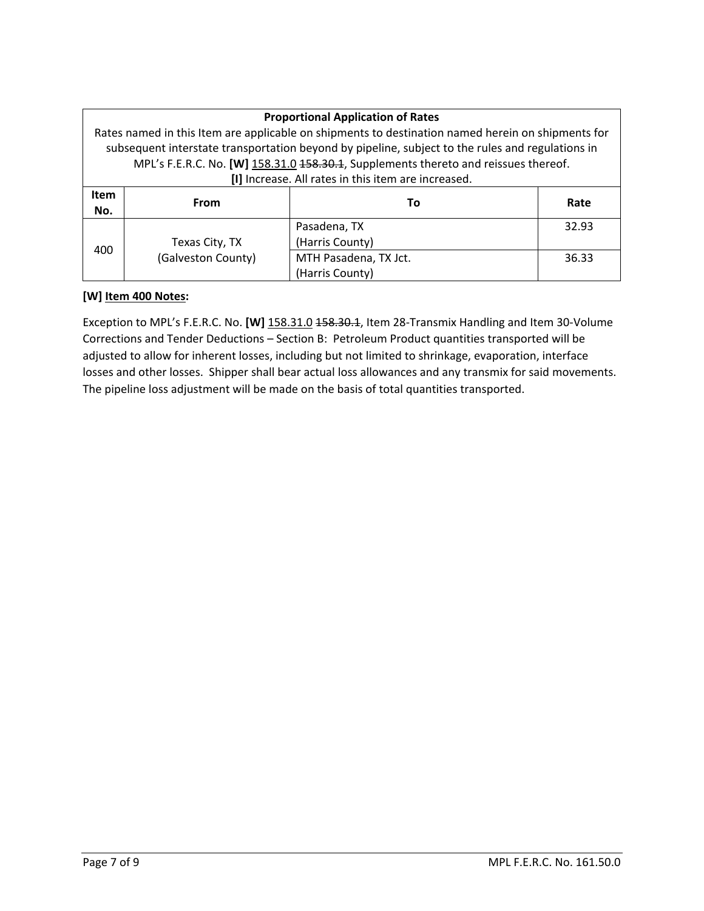|             | <b>Proportional Application of Rates</b> |                                                                                                   |       |  |  |
|-------------|------------------------------------------|---------------------------------------------------------------------------------------------------|-------|--|--|
|             |                                          | Rates named in this Item are applicable on shipments to destination named herein on shipments for |       |  |  |
|             |                                          | subsequent interstate transportation beyond by pipeline, subject to the rules and regulations in  |       |  |  |
|             |                                          | MPL's F.E.R.C. No. [W] 158.31.0 458.30.1, Supplements thereto and reissues thereof.               |       |  |  |
|             |                                          | [I] Increase. All rates in this item are increased.                                               |       |  |  |
| <b>Item</b> | From                                     | To                                                                                                | Rate  |  |  |
| No.         |                                          |                                                                                                   |       |  |  |
|             |                                          | Pasadena, TX                                                                                      | 32.93 |  |  |
| 400         | Texas City, TX                           | (Harris County)                                                                                   |       |  |  |
|             | (Galveston County)                       | MTH Pasadena, TX Jct.                                                                             | 36.33 |  |  |
|             |                                          | (Harris County)                                                                                   |       |  |  |

#### **[W] Item 400 Notes:**

Exception to MPL's F.E.R.C. No. **[W]** 158.31.0 158.30.1, Item 28-Transmix Handling and Item 30-Volume Corrections and Tender Deductions – Section B: Petroleum Product quantities transported will be adjusted to allow for inherent losses, including but not limited to shrinkage, evaporation, interface losses and other losses. Shipper shall bear actual loss allowances and any transmix for said movements. The pipeline loss adjustment will be made on the basis of total quantities transported.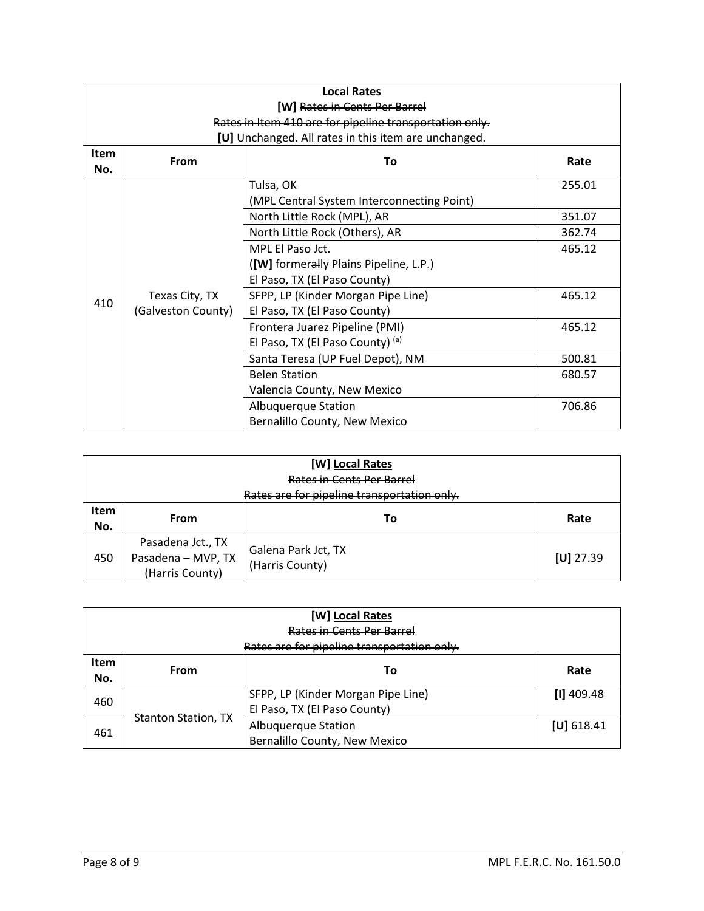| <b>Local Rates</b> |                           |                                                         |        |  |  |  |
|--------------------|---------------------------|---------------------------------------------------------|--------|--|--|--|
|                    |                           | [W] Rates in Cents Per Barrel                           |        |  |  |  |
|                    |                           | Rates in Item 410 are for pipeline transportation only. |        |  |  |  |
|                    |                           | [U] Unchanged. All rates in this item are unchanged.    |        |  |  |  |
| <b>Item</b><br>No. | Rate<br><b>From</b><br>To |                                                         |        |  |  |  |
|                    |                           | Tulsa, OK                                               | 255.01 |  |  |  |
|                    |                           | (MPL Central System Interconnecting Point)              |        |  |  |  |
|                    |                           | North Little Rock (MPL), AR                             | 351.07 |  |  |  |
|                    |                           | North Little Rock (Others), AR                          | 362.74 |  |  |  |
|                    |                           | MPL El Paso Jct.                                        | 465.12 |  |  |  |
|                    |                           | ([W] formerally Plains Pipeline, L.P.)                  |        |  |  |  |
|                    |                           | El Paso, TX (El Paso County)                            |        |  |  |  |
| 410                | Texas City, TX            | SFPP, LP (Kinder Morgan Pipe Line)                      | 465.12 |  |  |  |
|                    | (Galveston County)        | El Paso, TX (El Paso County)                            |        |  |  |  |
|                    |                           | Frontera Juarez Pipeline (PMI)                          | 465.12 |  |  |  |
|                    |                           | El Paso, TX (El Paso County) (a)                        |        |  |  |  |
|                    |                           | Santa Teresa (UP Fuel Depot), NM                        | 500.81 |  |  |  |
|                    |                           | <b>Belen Station</b>                                    | 680.57 |  |  |  |
|                    |                           | Valencia County, New Mexico                             |        |  |  |  |
|                    |                           | Albuquerque Station                                     | 706.86 |  |  |  |
|                    |                           | Bernalillo County, New Mexico                           |        |  |  |  |

| [W] Local Rates<br>Rates in Cents Per Barrel<br>Rates are for pipeline transportation only. |                                                            |                                        |             |  |
|---------------------------------------------------------------------------------------------|------------------------------------------------------------|----------------------------------------|-------------|--|
| <b>Item</b><br>No.                                                                          | From                                                       | То                                     | Rate        |  |
| 450                                                                                         | Pasadena Jct., TX<br>Pasadena - MVP, TX<br>(Harris County) | Galena Park Jct, TX<br>(Harris County) | $[U]$ 27.39 |  |

| [W] Local Rates<br>Rates in Cents Per Barrel<br>Rates are for pipeline transportation only. |                            |                                                                    |              |
|---------------------------------------------------------------------------------------------|----------------------------|--------------------------------------------------------------------|--------------|
| <b>Item</b><br>No.                                                                          | From                       | То                                                                 | Rate         |
| 460                                                                                         |                            | SFPP, LP (Kinder Morgan Pipe Line)<br>El Paso, TX (El Paso County) | $[1]$ 409.48 |
| 461                                                                                         | <b>Stanton Station, TX</b> | Albuquerque Station<br>Bernalillo County, New Mexico               | [U] 618.41   |